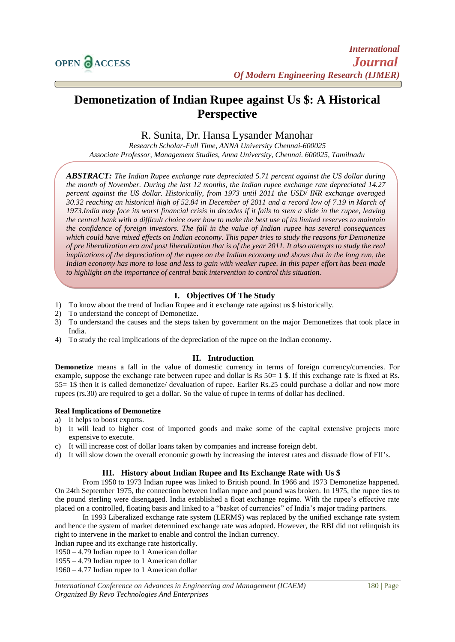# **Demonetization of Indian Rupee against Us \$: A Historical Perspective**

R. Sunita, Dr. Hansa Lysander Manohar

*Research Scholar-Full Time, ANNA University Chennai-600025 Associate Professor, Management Studies, Anna University, Chennai. 600025, Tamilnadu*

*ABSTRACT: The Indian Rupee exchange rate depreciated 5.71 percent against the US dollar during the month of November. During the last 12 months, the Indian rupee exchange rate depreciated 14.27 percent against the US dollar. Historically, from 1973 until 2011 the USD/ INR exchange averaged 30.32 reaching an historical high of 52.84 in December of 2011 and a record low of 7.19 in March of 1973.India may face its worst financial crisis in decades if it fails to stem a slide in the rupee, leaving the central bank with a difficult choice over how to make the best use of its limited reserves to maintain the confidence of foreign investors. The fall in the value of Indian rupee has several consequences which could have mixed effects on Indian economy. This paper tries to study the reasons for Demonetize of pre liberalization era and post liberalization that is of the year 2011. It also attempts to study the real implications of the depreciation of the rupee on the Indian economy and shows that in the long run, the Indian economy has more to lose and less to gain with weaker rupee. In this paper effort has been made to highlight on the importance of central bank intervention to control this situation.*

# **I. Objectives Of The Study**

- 1) To know about the trend of Indian Rupee and it exchange rate against us \$ historically.
- 2) To understand the concept of Demonetize.
- 3) To understand the causes and the steps taken by government on the major Demonetizes that took place in India.
- 4) To study the real implications of the depreciation of the rupee on the Indian economy.

# **II. Introduction**

**Demonetize** means a fall in the value of domestic currency in terms of foreign currency/currencies. For example, suppose the exchange rate between rupee and dollar is Rs 50= 1 \$. If this exchange rate is fixed at Rs. 55= 1\$ then it is called demonetize/ devaluation of rupee. Earlier Rs.25 could purchase a dollar and now more rupees (rs.30) are required to get a dollar. So the value of rupee in terms of dollar has declined.

#### **Real Implications of Demonetize**

- a) It helps to boost exports.
- b) It will lead to higher cost of imported goods and make some of the capital extensive projects more expensive to execute.
- c) It will increase cost of dollar loans taken by companies and increase foreign debt.
- d) It will slow down the overall economic growth by increasing the interest rates and dissuade flow of FII's.

# **III. History about Indian Rupee and Its Exchange Rate with Us \$**

From 1950 to 1973 Indian rupee was linked to British pound. In 1966 and 1973 Demonetize happened. On 24th September 1975, the connection between Indian rupee and pound was broken. In 1975, the rupee ties to the pound sterling were disengaged. India established a float exchange regime. With the rupee's effective rate placed on a controlled, floating basis and linked to a "basket of currencies" of India's major trading partners.

In 1993 Liberalized exchange rate system (LERMS) was replaced by the unified exchange rate system and hence the system of market determined exchange rate was adopted. However, the RBI did not relinquish its right to intervene in the market to enable and control the Indian currency.

- Indian rupee and its exchange rate historically.
- 1950 4.79 Indian rupee to 1 American dollar

1955 – 4.79 Indian rupee to 1 American dollar

1960 – 4.77 Indian rupee to 1 American dollar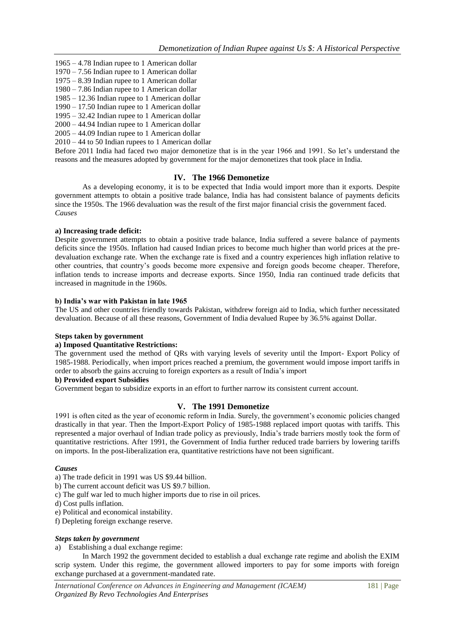- 1965 4.78 Indian rupee to 1 American dollar
- 1970 7.56 Indian rupee to 1 American dollar
- 1975 8.39 Indian rupee to 1 American dollar
- 1980 7.86 Indian rupee to 1 American dollar 1985 – 12.36 Indian rupee to 1 American dollar
- 1990 17.50 Indian rupee to 1 American dollar
- 1995 32.42 Indian rupee to 1 American dollar
- 2000 44.94 Indian rupee to 1 American dollar
- 2005 44.09 Indian rupee to 1 American dollar

2010 – 44 to 50 Indian rupees to 1 American dollar

Before 2011 India had faced two major demonetize that is in the year 1966 and 1991. So let's understand the reasons and the measures adopted by government for the major demonetizes that took place in India.

## **IV. The 1966 Demonetize**

As a developing economy, it is to be expected that India would import more than it exports. Despite government attempts to obtain a positive trade balance, India has had consistent balance of payments deficits since the 1950s. The 1966 devaluation was the result of the first major financial crisis the government faced. *Causes*

#### **a) Increasing trade deficit:**

Despite government attempts to obtain a positive trade balance, India suffered a severe balance of payments deficits since the 1950s. Inflation had caused Indian prices to become much higher than world prices at the predevaluation exchange rate. When the exchange rate is fixed and a country experiences high inflation relative to other countries, that country's goods become more expensive and foreign goods become cheaper. Therefore, inflation tends to increase imports and decrease exports. Since 1950, India ran continued trade deficits that increased in magnitude in the 1960s.

## **b) India's war with Pakistan in late 1965**

The US and other countries friendly towards Pakistan, withdrew foreign aid to India, which further necessitated devaluation. Because of all these reasons, Government of India devalued Rupee by 36.5% against Dollar.

# **Steps taken by government**

#### **a) Imposed Quantitative Restrictions:**

The government used the method of QRs with varying levels of severity until the Import- Export Policy of 1985-1988. Periodically, when import prices reached a premium, the government would impose import tariffs in order to absorb the gains accruing to foreign exporters as a result of India's import

## **b) Provided export Subsidies**

Government began to subsidize exports in an effort to further narrow its consistent current account.

# **V. The 1991 Demonetize**

1991 is often cited as the year of economic reform in India. Surely, the government's economic policies changed drastically in that year. Then the Import-Export Policy of 1985-1988 replaced import quotas with tariffs. This represented a major overhaul of Indian trade policy as previously, India's trade barriers mostly took the form of quantitative restrictions. After 1991, the Government of India further reduced trade barriers by lowering tariffs on imports. In the post-liberalization era, quantitative restrictions have not been significant.

#### *Causes*

- a) The trade deficit in 1991 was US \$9.44 billion.
- b) The current account deficit was US \$9.7 billion.
- c) The gulf war led to much higher imports due to rise in oil prices.
- d) Cost pulls inflation.
- e) Political and economical instability.
- f) Depleting foreign exchange reserve.

#### *Steps taken by government*

a) Establishing a dual exchange regime:

In March 1992 the government decided to establish a dual exchange rate regime and abolish the EXIM scrip system. Under this regime, the government allowed importers to pay for some imports with foreign exchange purchased at a government-mandated rate.

*International Conference on Advances in Engineering and Management (ICAEM)* 181 | Page *Organized By Revo Technologies And Enterprises*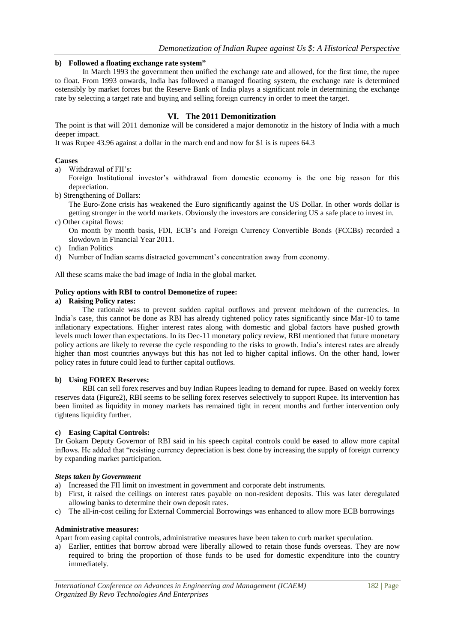## **b) Followed a floating exchange rate system"**

In March 1993 the government then unified the exchange rate and allowed, for the first time, the rupee to float. From 1993 onwards, India has followed a managed floating system, the exchange rate is determined ostensibly by market forces but the Reserve Bank of India plays a significant role in determining the exchange rate by selecting a target rate and buying and selling foreign currency in order to meet the target.

## **VI. The 2011 Demonitization**

The point is that will 2011 demonize will be considered a major demonotiz in the history of India with a much deeper impact.

It was Rupee 43.96 against a dollar in the march end and now for \$1 is is rupees 64.3

#### **Causes**

- a) Withdrawal of FII's:
- Foreign Institutional investor's withdrawal from domestic economy is the one big reason for this depreciation.
- b) Strengthening of Dollars:

The Euro-Zone crisis has weakened the Euro significantly against the US Dollar. In other words dollar is getting stronger in the world markets. Obviously the investors are considering US a safe place to invest in.

c) Other capital flows:

On month by month basis, FDI, ECB's and Foreign Currency Convertible Bonds (FCCBs) recorded a slowdown in Financial Year 2011.

- c) Indian Politics
- d) Number of Indian scams distracted government's concentration away from economy.

All these scams make the bad image of India in the global market.

#### **Policy options with RBI to control Demonetize of rupee:**

#### **a) Raising Policy rates:**

The rationale was to prevent sudden capital outflows and prevent meltdown of the currencies. In India's case, this cannot be done as RBI has already tightened policy rates significantly since Mar-10 to tame inflationary expectations. Higher interest rates along with domestic and global factors have pushed growth levels much lower than expectations. In its Dec-11 monetary policy review, RBI mentioned that future monetary policy actions are likely to reverse the cycle responding to the risks to growth. India's interest rates are already higher than most countries anyways but this has not led to higher capital inflows. On the other hand, lower policy rates in future could lead to further capital outflows.

#### **b) Using FOREX Reserves:**

RBI can sell forex reserves and buy Indian Rupees leading to demand for rupee. Based on weekly forex reserves data (Figure2), RBI seems to be selling forex reserves selectively to support Rupee. Its intervention has been limited as liquidity in money markets has remained tight in recent months and further intervention only tightens liquidity further.

#### **c) Easing Capital Controls:**

Dr Gokarn Deputy Governor of RBI said in his speech capital controls could be eased to allow more capital inflows. He added that "resisting currency depreciation is best done by increasing the supply of foreign currency by expanding market participation.

#### *Steps taken by Government*

- a) Increased the FII limit on investment in government and corporate debt instruments.
- b) First, it raised the ceilings on interest rates payable on non-resident deposits. This was later deregulated allowing banks to determine their own deposit rates.
- c) The all-in-cost ceiling for External Commercial Borrowings was enhanced to allow more ECB borrowings

#### **Administrative measures:**

Apart from easing capital controls, administrative measures have been taken to curb market speculation.

a) Earlier, entities that borrow abroad were liberally allowed to retain those funds overseas. They are now required to bring the proportion of those funds to be used for domestic expenditure into the country immediately.